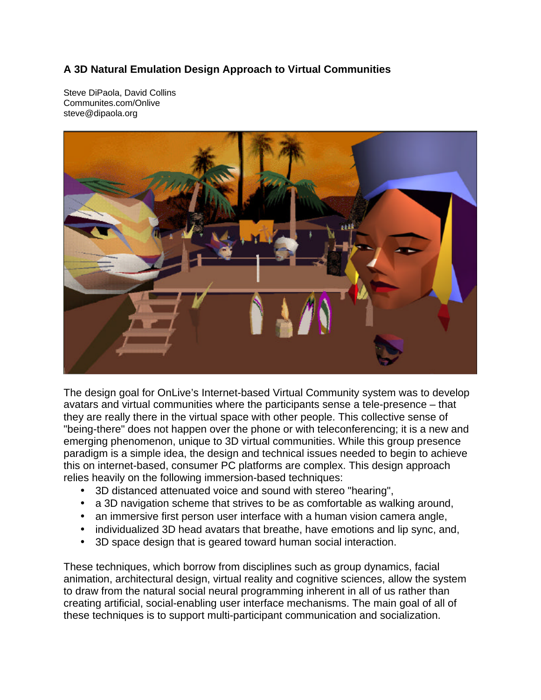## **A 3D Natural Emulation Design Approach to Virtual Communities**

Steve DiPaola, David Collins Communites.com/Onlive steve@dipaola.org



The design goal for OnLive's Internet-based Virtual Community system was to develop avatars and virtual communities where the participants sense a tele-presence – that they are really there in the virtual space with other people. This collective sense of "being-there" does not happen over the phone or with teleconferencing; it is a new and emerging phenomenon, unique to 3D virtual communities. While this group presence paradigm is a simple idea, the design and technical issues needed to begin to achieve this on internet-based, consumer PC platforms are complex. This design approach relies heavily on the following immersion-based techniques:

- 3D distanced attenuated voice and sound with stereo "hearing",
- a 3D navigation scheme that strives to be as comfortable as walking around,
- an immersive first person user interface with a human vision camera angle,
- individualized 3D head avatars that breathe, have emotions and lip sync, and,
- 3D space design that is geared toward human social interaction.

These techniques, which borrow from disciplines such as group dynamics, facial animation, architectural design, virtual reality and cognitive sciences, allow the system to draw from the natural social neural programming inherent in all of us rather than creating artificial, social-enabling user interface mechanisms. The main goal of all of these techniques is to support multi-participant communication and socialization.